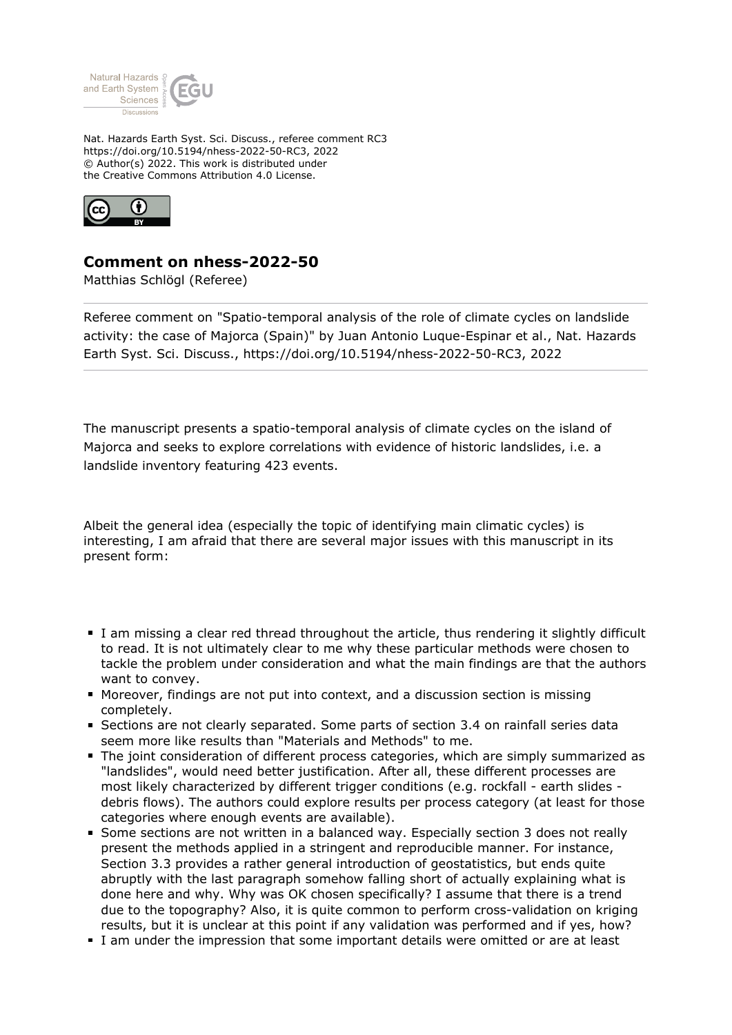

Nat. Hazards Earth Syst. Sci. Discuss., referee comment RC3 https://doi.org/10.5194/nhess-2022-50-RC3, 2022 © Author(s) 2022. This work is distributed under the Creative Commons Attribution 4.0 License.



## **Comment on nhess-2022-50**

Matthias Schlögl (Referee)

Referee comment on "Spatio-temporal analysis of the role of climate cycles on landslide activity: the case of Majorca (Spain)" by Juan Antonio Luque-Espinar et al., Nat. Hazards Earth Syst. Sci. Discuss., https://doi.org/10.5194/nhess-2022-50-RC3, 2022

The manuscript presents a spatio-temporal analysis of climate cycles on the island of Majorca and seeks to explore correlations with evidence of historic landslides, i.e. a landslide inventory featuring 423 events.

Albeit the general idea (especially the topic of identifying main climatic cycles) is interesting, I am afraid that there are several major issues with this manuscript in its present form:

- I am missing a clear red thread throughout the article, thus rendering it slightly difficult to read. It is not ultimately clear to me why these particular methods were chosen to tackle the problem under consideration and what the main findings are that the authors want to convey.
- Moreover, findings are not put into context, and a discussion section is missing completely.
- Sections are not clearly separated. Some parts of section 3.4 on rainfall series data seem more like results than "Materials and Methods" to me.
- The joint consideration of different process categories, which are simply summarized as "landslides", would need better justification. After all, these different processes are most likely characterized by different trigger conditions (e.g. rockfall - earth slides debris flows). The authors could explore results per process category (at least for those categories where enough events are available).
- Some sections are not written in a balanced way. Especially section 3 does not really present the methods applied in a stringent and reproducible manner. For instance, Section 3.3 provides a rather general introduction of geostatistics, but ends quite abruptly with the last paragraph somehow falling short of actually explaining what is done here and why. Why was OK chosen specifically? I assume that there is a trend due to the topography? Also, it is quite common to perform cross-validation on kriging results, but it is unclear at this point if any validation was performed and if yes, how?
- I am under the impression that some important details were omitted or are at least